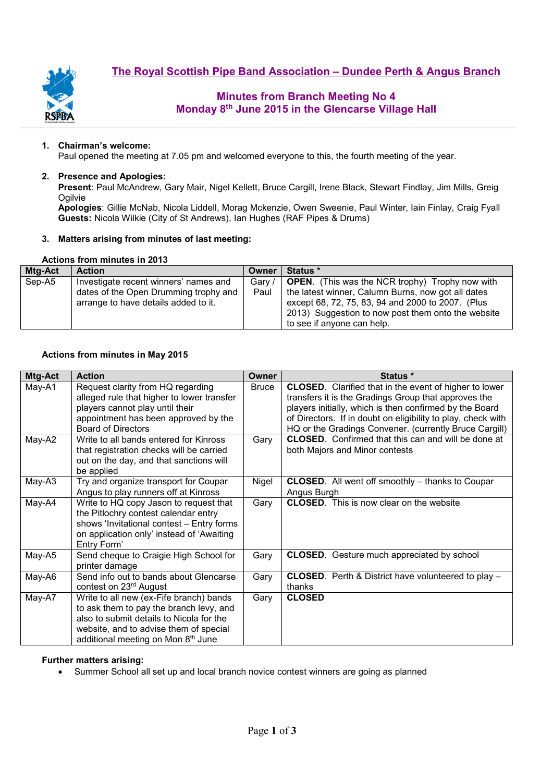



# **Minutes from Branch Meeting No 4 Monday 8th June 2015 in the Glencarse Village Hall**

#### **1. Chairman's welcome:**

Paul opened the meeting at 7.05 pm and welcomed everyone to this, the fourth meeting of the year.

#### **2. Presence and Apologies:**

**Present**: Paul McAndrew, Gary Mair, Nigel Kellett, Bruce Cargill, Irene Black, Stewart Findlay, Jim Mills, Greig **Ogilvie** 

**Apologies**: Gillie McNab, Nicola Liddell, Morag Mckenzie, Owen Sweenie, Paul Winter, Iain Finlay, Craig Fyall **Guests:** Nicola Wilkie (City of St Andrews), Ian Hughes (RAF Pipes & Drums)

#### **3. Matters arising from minutes of last meeting:**

#### **Actions from minutes in 2013**

| Mtg-Act | <b>Action</b>                         | Owner  | <b>Status</b> *                                        |
|---------|---------------------------------------|--------|--------------------------------------------------------|
| Sep-A5  | Investigate recent winners' names and | Gary / | <b>OPEN.</b> (This was the NCR trophy) Trophy now with |
|         | dates of the Open Drumming trophy and | Paul   | the latest winner, Calumn Burns, now got all dates     |
|         | arrange to have details added to it.  |        | except 68, 72, 75, 83, 94 and 2000 to 2007. (Plus      |
|         |                                       |        | 2013) Suggestion to now post them onto the website     |
|         |                                       |        | to see if anyone can help.                             |

#### **Actions from minutes in May 2015**

| Mtg-Act | <b>Action</b>                                                                                                                                                                                                  | Owner        | Status *                                                                                                                                                                                                                                                                                                   |
|---------|----------------------------------------------------------------------------------------------------------------------------------------------------------------------------------------------------------------|--------------|------------------------------------------------------------------------------------------------------------------------------------------------------------------------------------------------------------------------------------------------------------------------------------------------------------|
| May-A1  | Request clarity from HQ regarding<br>alleged rule that higher to lower transfer<br>players cannot play until their<br>appointment has been approved by the<br><b>Board of Directors</b>                        | <b>Bruce</b> | <b>CLOSED.</b> Clarified that in the event of higher to lower<br>transfers it is the Gradings Group that approves the<br>players initially, which is then confirmed by the Board<br>of Directors. If in doubt on eligibility to play, check with<br>HQ or the Gradings Convener. (currently Bruce Cargill) |
| May-A2  | Write to all bands entered for Kinross<br>that registration checks will be carried<br>out on the day, and that sanctions will<br>be applied                                                                    | Gary         | <b>CLOSED.</b> Confirmed that this can and will be done at<br>both Majors and Minor contests                                                                                                                                                                                                               |
| May-A3  | Try and organize transport for Coupar<br>Angus to play runners off at Kinross                                                                                                                                  | Nigel        | <b>CLOSED.</b> All went off smoothly – thanks to Coupar<br>Angus Burgh                                                                                                                                                                                                                                     |
| May-A4  | Write to HQ copy Jason to request that<br>the Pitlochry contest calendar entry<br>shows 'Invitational contest - Entry forms<br>on application only' instead of 'Awaiting<br>Entry Form'                        | Gary         | <b>CLOSED.</b> This is now clear on the website                                                                                                                                                                                                                                                            |
| May-A5  | Send cheque to Craigie High School for<br>printer damage                                                                                                                                                       | Gary         | <b>CLOSED.</b> Gesture much appreciated by school                                                                                                                                                                                                                                                          |
| May-A6  | Send info out to bands about Glencarse<br>contest on 23 <sup>rd</sup> August                                                                                                                                   | Gary         | <b>CLOSED.</b> Perth & District have volunteered to play -<br>thanks                                                                                                                                                                                                                                       |
| May-A7  | Write to all new (ex-Fife branch) bands<br>to ask them to pay the branch levy, and<br>also to submit details to Nicola for the<br>website, and to advise them of special<br>additional meeting on Mon 8th June | Gary         | <b>CLOSED</b>                                                                                                                                                                                                                                                                                              |

#### **Further matters arising:**

• Summer School all set up and local branch novice contest winners are going as planned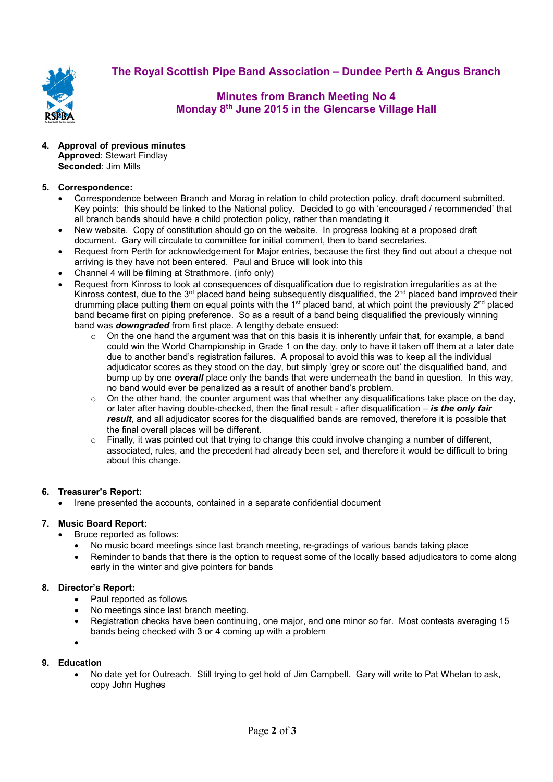**The Royal Scottish Pipe Band Association – Dundee Perth & Angus Branch**



# **Minutes from Branch Meeting No 4 Monday 8th June 2015 in the Glencarse Village Hall**

**4. Approval of previous minutes Approved**: Stewart Findlay **Seconded**: Jim Mills

### **5. Correspondence:**

- Correspondence between Branch and Morag in relation to child protection policy, draft document submitted. Key points: this should be linked to the National policy. Decided to go with 'encouraged / recommended' that all branch bands should have a child protection policy, rather than mandating it
- New website. Copy of constitution should go on the website. In progress looking at a proposed draft document. Gary will circulate to committee for initial comment, then to band secretaries.
- Request from Perth for acknowledgement for Major entries, because the first they find out about a cheque not arriving is they have not been entered. Paul and Bruce will look into this
- Channel 4 will be filming at Strathmore. (info only)
- Request from Kinross to look at consequences of disqualification due to registration irregularities as at the Kinross contest, due to the 3<sup>rd</sup> placed band being subsequently disqualified, the 2<sup>nd</sup> placed band improved their drumming place putting them on equal points with the 1<sup>st</sup> placed band, at which point the previously 2<sup>nd</sup> placed band became first on piping preference. So as a result of a band being disqualified the previously winning band was *downgraded* from first place. A lengthy debate ensued:
	- $\circ$  On the one hand the argument was that on this basis it is inherently unfair that, for example, a band could win the World Championship in Grade 1 on the day, only to have it taken off them at a later date due to another band's registration failures. A proposal to avoid this was to keep all the individual adjudicator scores as they stood on the day, but simply 'grey or score out' the disqualified band, and bump up by one *overall* place only the bands that were underneath the band in question. In this way, no band would ever be penalized as a result of another band's problem.
	- $\circ$  On the other hand, the counter argument was that whether any disqualifications take place on the day, or later after having double-checked, then the final result - after disqualification – *is the only fair result*, and all adjudicator scores for the disqualified bands are removed, therefore it is possible that the final overall places will be different.
	- $\circ$  Finally, it was pointed out that trying to change this could involve changing a number of different, associated, rules, and the precedent had already been set, and therefore it would be difficult to bring about this change.

#### **6. Treasurer's Report:**

• Irene presented the accounts, contained in a separate confidential document

#### **7. Music Board Report:**

- Bruce reported as follows:
	- No music board meetings since last branch meeting, re-gradings of various bands taking place
	- Reminder to bands that there is the option to request some of the locally based adjudicators to come along early in the winter and give pointers for bands

### **8. Director's Report:**

- Paul reported as follows
- No meetings since last branch meeting.
- Registration checks have been continuing, one major, and one minor so far. Most contests averaging 15 bands being checked with 3 or 4 coming up with a problem
- •

#### **9. Education**

• No date yet for Outreach. Still trying to get hold of Jim Campbell. Gary will write to Pat Whelan to ask, copy John Hughes